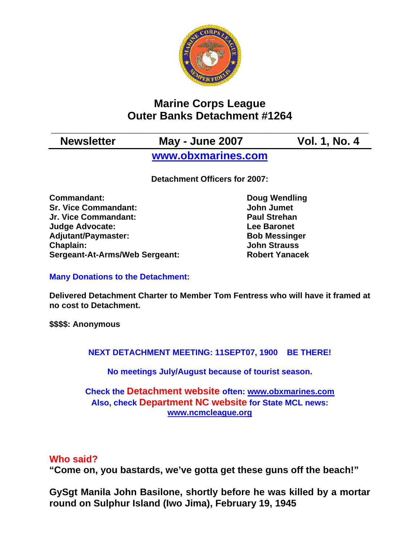

# **Marine Corps League Outer Banks Detachment #1264**

# **\_\_\_\_\_\_\_\_\_\_\_\_\_\_\_\_\_\_\_\_\_\_\_\_\_\_\_\_\_\_\_\_\_\_\_\_\_\_\_\_\_\_\_\_\_\_\_\_\_\_\_\_ Newsletter May - June 2007 Vol. 1, No. 4 [www.obxmarines.com](http://www.obxmarines.com/)**

**Detachment Officers for 2007:** 

**Commandant:** Doug Wendling **Sr. Vice Commandant:** John Jumet **Jr. Vice Commandant: Paul Strehan Judge Advocate:** The Contract Contract Lee Baronet Adjutant/Paymaster: Bob Messinger **Chaplain: John Strauss Sergeant-At-Arms/Web Sergeant: Robert Yanacek**

**Many Donations to the Detachment:** 

**Delivered Detachment Charter to Member Tom Fentress who will have it framed at no cost to Detachment.** 

**\$\$\$\$: Anonymous** 

**NEXT DETACHMENT MEETING: 11SEPT07, 1900 BE THERE!** 

**No meetings July/August because of tourist season.** 

## **Check the Detachment website often: [www.obxmarines.com](http://www.obxmarines.com/) Also, check Department NC website for State MCL news: [www.ncmcleague.org](http://www.ncmcleague.org/)**

## **Who said?**

**"Come on, you bastards, we've gotta get these guns off the beach!"** 

**GySgt Manila John Basilone, shortly before he was killed by a mortar round on Sulphur Island (Iwo Jima), February 19, 1945**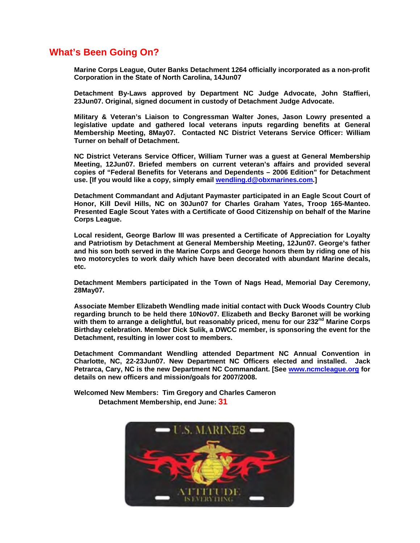### **What's Been Going On?**

**Marine Corps League, Outer Banks Detachment 1264 officially incorporated as a non-profit Corporation in the State of North Carolina, 14Jun07** 

**Detachment By-Laws approved by Department NC Judge Advocate, John Staffieri, 23Jun07. Original, signed document in custody of Detachment Judge Advocate.** 

**Military & Veteran's Liaison to Congressman Walter Jones, Jason Lowry presented a legislative update and gathered local veterans inputs regarding benefits at General Membership Meeting, 8May07. Contacted NC District Veterans Service Officer: William Turner on behalf of Detachment.** 

**NC District Veterans Service Officer, William Turner was a guest at General Membership Meeting, 12Jun07. Briefed members on current veteran's affairs and provided several copies of "Federal Benefits for Veterans and Dependents – 2006 Edition" for Detachment use. [If you would like a copy, simply email [wendling.d@obxmarines.com](mailto:wendling.d@obxmarines.com).]** 

**Detachment Commandant and Adjutant Paymaster participated in an Eagle Scout Court of Honor, Kill Devil Hills, NC on 30Jun07 for Charles Graham Yates, Troop 165-Manteo. Presented Eagle Scout Yates with a Certificate of Good Citizenship on behalf of the Marine Corps League.** 

**Local resident, George Barlow III was presented a Certificate of Appreciation for Loyalty and Patriotism by Detachment at General Membership Meeting, 12Jun07. George's father and his son both served in the Marine Corps and George honors them by riding one of his two motorcycles to work daily which have been decorated with abundant Marine decals, etc.** 

**Detachment Members participated in the Town of Nags Head, Memorial Day Ceremony, 28May07.** 

**Associate Member Elizabeth Wendling made initial contact with Duck Woods Country Club regarding brunch to be held there 10Nov07. Elizabeth and Becky Baronet will be working with them to arrange a delightful, but reasonably priced, menu for our 232nd Marine Corps Birthday celebration. Member Dick Sulik, a DWCC member, is sponsoring the event for the Detachment, resulting in lower cost to members.** 

**Detachment Commandant Wendling attended Department NC Annual Convention in Charlotte, NC, 22-23Jun07. New Department NC Officers elected and installed. Jack Petrarca, Cary, NC is the new Department NC Commandant. [See [www.ncmcleague.org](http://www.ncmcleague.org/) for details on new officers and mission/goals for 2007/2008.** 

**Welcomed New Members: Tim Gregory and Charles Cameron Detachment Membership, end June: 31**

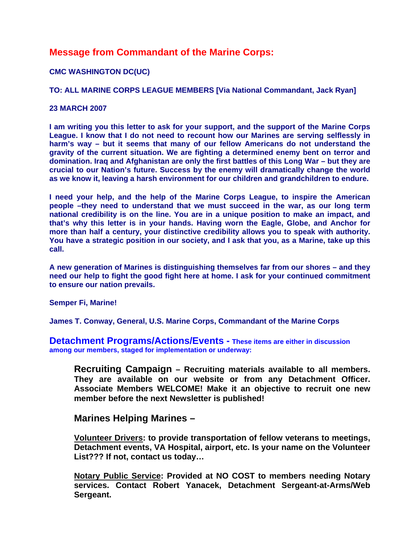## **Message from Commandant of the Marine Corps:**

#### **CMC WASHINGTON DC(UC)**

#### **TO: ALL MARINE CORPS LEAGUE MEMBERS [Via National Commandant, Jack Ryan]**

#### **23 MARCH 2007**

**I am writing you this letter to ask for your support, and the support of the Marine Corps League. I know that I do not need to recount how our Marines are serving selflessly in harm's way – but it seems that many of our fellow Americans do not understand the gravity of the current situation. We are fighting a determined enemy bent on terror and domination. Iraq and Afghanistan are only the first battles of this Long War – but they are crucial to our Nation's future. Success by the enemy will dramatically change the world as we know it, leaving a harsh environment for our children and grandchildren to endure.** 

**I need your help, and the help of the Marine Corps League, to inspire the American people –they need to understand that we must succeed in the war, as our long term national credibility is on the line. You are in a unique position to make an impact, and that's why this letter is in your hands. Having worn the Eagle, Globe, and Anchor for more than half a century, your distinctive credibility allows you to speak with authority. You have a strategic position in our society, and I ask that you, as a Marine, take up this call.** 

**A new generation of Marines is distinguishing themselves far from our shores – and they need our help to fight the good fight here at home. I ask for your continued commitment to ensure our nation prevails.** 

**Semper Fi, Marine!** 

**James T. Conway, General, U.S. Marine Corps, Commandant of the Marine Corps** 

**Detachment Programs/Actions/Events - These items are either in discussion among our members, staged for implementation or underway:** 

**Recruiting Campaign – Recruiting materials available to all members. They are available on our website or from any Detachment Officer. Associate Members WELCOME! Make it an objective to recruit one new member before the next Newsletter is published!** 

#### **Marines Helping Marines –**

**Volunteer Drivers: to provide transportation of fellow veterans to meetings, Detachment events, VA Hospital, airport, etc. Is your name on the Volunteer List??? If not, contact us today…** 

**Notary Public Service: Provided at NO COST to members needing Notary services. Contact Robert Yanacek, Detachment Sergeant-at-Arms/Web Sergeant.**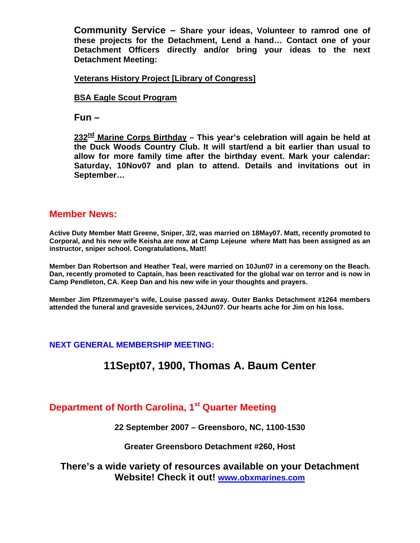**Community Service – Share your ideas, Volunteer to ramrod one of these projects for the Detachment, Lend a hand… Contact one of your Detachment Officers directly and/or bring your ideas to the next Detachment Meeting:** 

#### **Veterans History Project [Library of Congress]**

#### **BSA Eagle Scout Program**

**Fun –** 

**232nd Marine Corps Birthday – This year's celebration will again be held at the Duck Woods Country Club. It will start/end a bit earlier than usual to allow for more family time after the birthday event. Mark your calendar: Saturday, 10Nov07 and plan to attend. Details and invitations out in September…** 

#### **Member News:**

**Active Duty Member Matt Greene, Sniper, 3/2, was married on 18May07. Matt, recently promoted to Corporal, and his new wife Keisha are now at Camp Lejeune where Matt has been assigned as an instructor, sniper school. Congratulations, Matt!** 

**Member Dan Robertson and Heather Teal, were married on 10Jun07 in a ceremony on the Beach. Dan, recently promoted to Captain, has been reactivated for the global war on terror and is now in Camp Pendleton, CA. Keep Dan and his new wife in your thoughts and prayers.** 

**Member Jim Pfizenmayer's wife, Louise passed away. Outer Banks Detachment #1264 members attended the funeral and graveside services, 24Jun07. Our hearts ache for Jim on his loss.** 

#### **NEXT GENERAL MEMBERSHIP MEETING:**

# **11Sept07, 1900, Thomas A. Baum Center**

## **Department of North Carolina, 1st Quarter Meeting**

**22 September 2007 – Greensboro, NC, 1100-1530** 

#### **Greater Greensboro Detachment #260, Host**

**There's a wide variety of resources available on your Detachment Website! Check it out! [www.obxmarines.com](http://www.obxmarines.com/)**